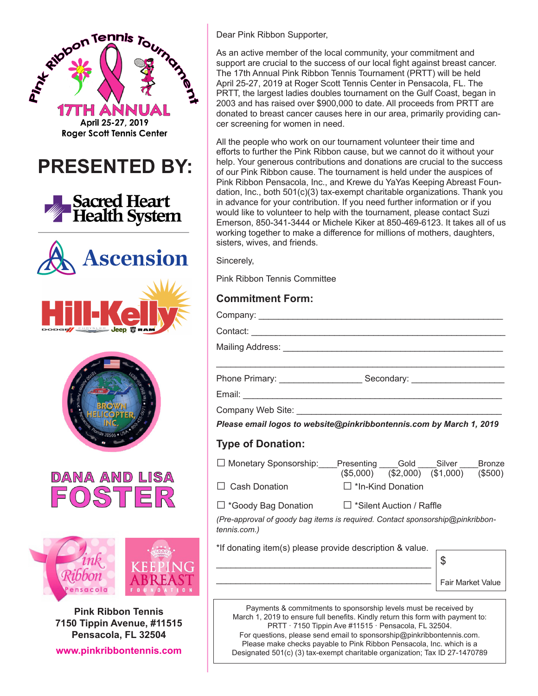

**Pensacola, FL 32504 www.pinkribbontennis.com** Dear Pink Ribbon Supporter,

As an active member of the local community, your commitment and support are crucial to the success of our local fight against breast cancer. The 17th Annual Pink Ribbon Tennis Tournament (PRTT) will be held April 25-27, 2019 at Roger Scott Tennis Center in Pensacola, FL. The PRTT, the largest ladies doubles tournament on the Gulf Coast, began in 2003 and has raised over \$900,000 to date. All proceeds from PRTT are donated to breast cancer causes here in our area, primarily providing cancer screening for women in need.

All the people who work on our tournament volunteer their time and efforts to further the Pink Ribbon cause, but we cannot do it without your help. Your generous contributions and donations are crucial to the success of our Pink Ribbon cause. The tournament is held under the auspices of Pink Ribbon Pensacola, Inc., and Krewe du YaYas Keeping Abreast Foundation, Inc., both 501(c)(3) tax-exempt charitable organizations. Thank you in advance for your contribution. If you need further information or if you would like to volunteer to help with the tournament, please contact Suzi Emerson, 850-341-3444 or Michele Kiker at 850-469-6123. It takes all of us working together to make a difference for millions of mothers, daughters, sisters, wives, and friends.

Sincerely,

Pink Ribbon Tennis Committee

## **Commitment Form:**

|                          | Please email logos to website@pinkribbontennis.com by March 1, 2019                                                           |                                           |
|--------------------------|-------------------------------------------------------------------------------------------------------------------------------|-------------------------------------------|
| <b>Type of Donation:</b> |                                                                                                                               |                                           |
|                          | □ Monetary Sponsorship: Presenting Gold ____Silver ____Bronze                                                                 | $($5,000)$ $($2,000)$ $($1,000)$ $($500)$ |
| $\Box$ Cash Donation     | □ *In-Kind Donation                                                                                                           |                                           |
|                          | □ *Goody Bag Donation □ *Silent Auction / Raffle                                                                              |                                           |
| tennis.com.)             | (Pre-approval of goody bag items is required. Contact sponsorship@pinkribbon-                                                 |                                           |
|                          | *If donating item(s) please provide description & value.                                                                      |                                           |
|                          |                                                                                                                               | $\mathcal{L}$                             |
|                          | Fair Market Value                                                                                                             |                                           |
|                          | Payments & commitments to sponsorship levels must be received by                                                              |                                           |
|                          | March 1, 2019 to ensure full benefits. Kindly return this form with payment to:                                               |                                           |
|                          | PRTT · 7150 Tippin Ave #11515 · Pensacola, FL 32504.<br>For questions, please send email to sponsorship@pinkribbontennis.com. |                                           |
|                          | Please make checks payable to Pink Ribbon Pensacola, Inc. which is a                                                          |                                           |

Designated 501(c) (3) tax-exempt charitable organization; Tax ID 27-1470789